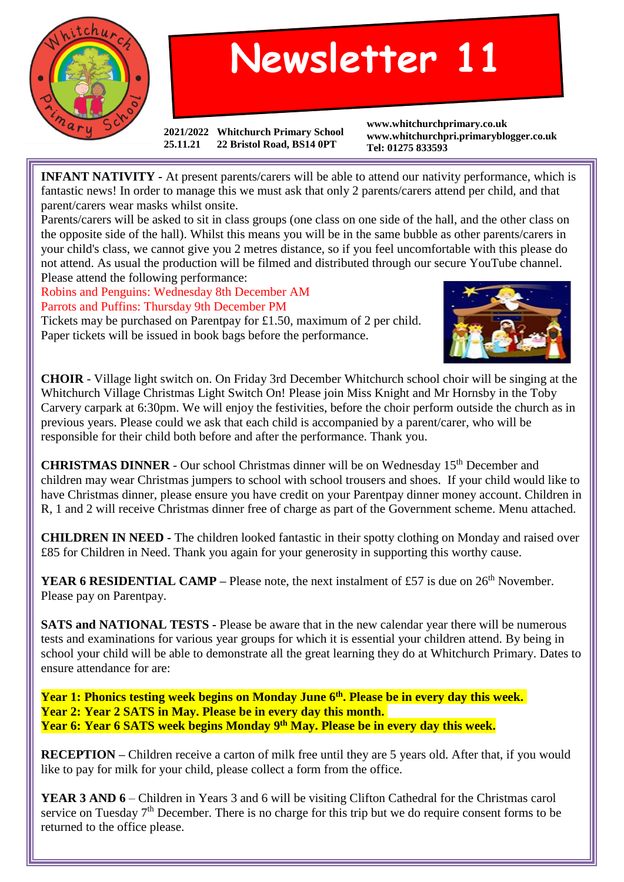

## **Newsletter 11**

**2021/2022 Whitchurch Primary School 25.11.21 22 Bristol Road, BS14 0PT**

**www.whitchurchprimary.co.uk www.whitchurchpri.primaryblogger.co.uk Tel: 01275 833593**

**INFANT NATIVITY** - At present parents/carers will be able to attend our nativity performance, which is fantastic news! In order to manage this we must ask that only 2 parents/carers attend per child, and that parent/carers wear masks whilst onsite.

Parents/carers will be asked to sit in class groups (one class on one side of the hall, and the other class on the opposite side of the hall). Whilst this means you will be in the same bubble as other parents/carers in your child's class, we cannot give you 2 metres distance, so if you feel uncomfortable with this please do not attend. As usual the production will be filmed and distributed through our secure YouTube channel. Please attend the following performance:

Robins and Penguins: Wednesday 8th December AM Parrots and Puffins: Thursday 9th December PM Tickets may be purchased on Parentpay for £1.50, maximum of 2 per child.

Paper tickets will be issued in book bags before the performance.



**CHOIR** - Village light switch on. On Friday 3rd December Whitchurch school choir will be singing at the Whitchurch Village Christmas Light Switch On! Please join Miss Knight and Mr Hornsby in the Toby Carvery carpark at 6:30pm. We will enjoy the festivities, before the choir perform outside the church as in previous years. Please could we ask that each child is accompanied by a parent/carer, who will be responsible for their child both before and after the performance. Thank you.

**CHRISTMAS DINNER** - Our school Christmas dinner will be on Wednesday 15<sup>th</sup> December and children may wear Christmas jumpers to school with school trousers and shoes. If your child would like to have Christmas dinner, please ensure you have credit on your Parentpay dinner money account. Children in R, 1 and 2 will receive Christmas dinner free of charge as part of the Government scheme. Menu attached.

**CHILDREN IN NEED -** The children looked fantastic in their spotty clothing on Monday and raised over £85 for Children in Need. Thank you again for your generosity in supporting this worthy cause.

**YEAR 6 RESIDENTIAL CAMP** – Please note, the next instalment of £57 is due on  $26<sup>th</sup>$  November. Please pay on Parentpay.

**SATS and NATIONAL TESTS -** Please be aware that in the new calendar year there will be numerous tests and examinations for various year groups for which it is essential your children attend. By being in school your child will be able to demonstrate all the great learning they do at Whitchurch Primary. Dates to ensure attendance for are:

**Year 1: Phonics testing week begins on Monday June 6 th . Please be in every day this week. Year 2: Year 2 SATS in May. Please be in every day this month. Year 6: Year 6 SATS week begins Monday 9 th May. Please be in every day this week.**

**RECEPTION** – Children receive a carton of milk free until they are 5 years old. After that, if you would like to pay for milk for your child, please collect a form from the office.

**YEAR 3 AND 6** – Children in Years 3 and 6 will be visiting Clifton Cathedral for the Christmas carol service on Tuesday  $7<sup>th</sup>$  December. There is no charge for this trip but we do require consent forms to be returned to the office please.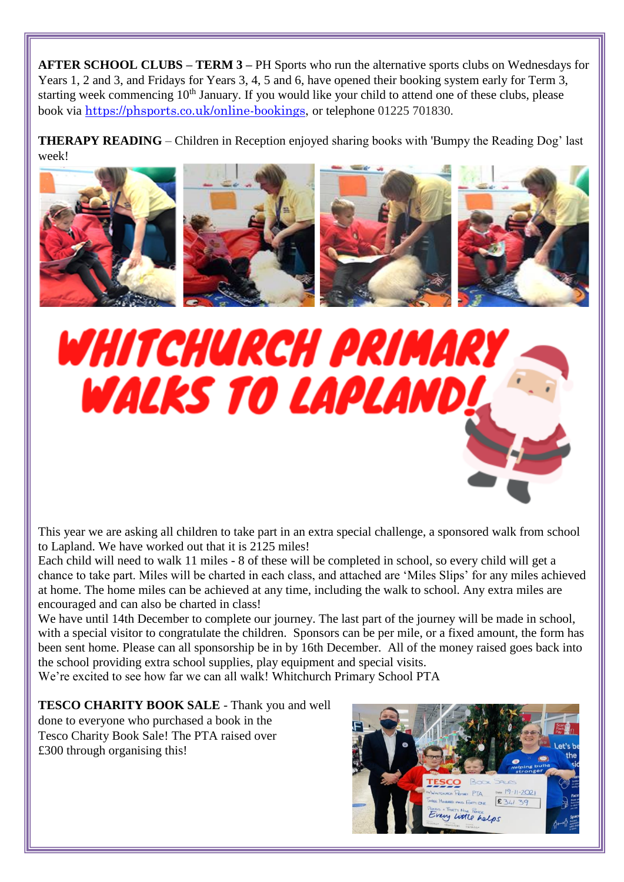**AFTER SCHOOL CLUBS – TERM 3 –** PH Sports who run the alternative sports clubs on Wednesdays for Years 1, 2 and 3, and Fridays for Years 3, 4, 5 and 6, have opened their booking system early for Term 3, starting week commencing  $10<sup>th</sup>$  January. If you would like your child to attend one of these clubs, please book via [https://phsports.co.uk/online-bookings,](https://phsports.co.uk/online-bookings) or telephone 01225 701830.

**THERAPY READING** – Children in Reception enjoyed sharing books with 'Bumpy the Reading Dog' last week!





This year we are asking all children to take part in an extra special challenge, a sponsored walk from school to Lapland. We have worked out that it is 2125 miles!

Each child will need to walk 11 miles - 8 of these will be completed in school, so every child will get a chance to take part. Miles will be charted in each class, and attached are 'Miles Slips' for any miles achieved at home. The home miles can be achieved at any time, including the walk to school. Any extra miles are encouraged and can also be charted in class!

We have until 14th December to complete our journey. The last part of the journey will be made in school, with a special visitor to congratulate the children. Sponsors can be per mile, or a fixed amount, the form has been sent home. Please can all sponsorship be in by 16th December. All of the money raised goes back into the school providing extra school supplies, play equipment and special visits.

We're excited to see how far we can all walk! Whitchurch Primary School PTA

**TESCO CHARITY BOOK SALE** - Thank you and well done to everyone who purchased a book in the Tesco Charity Book Sale! The PTA raised over £300 through organising this!

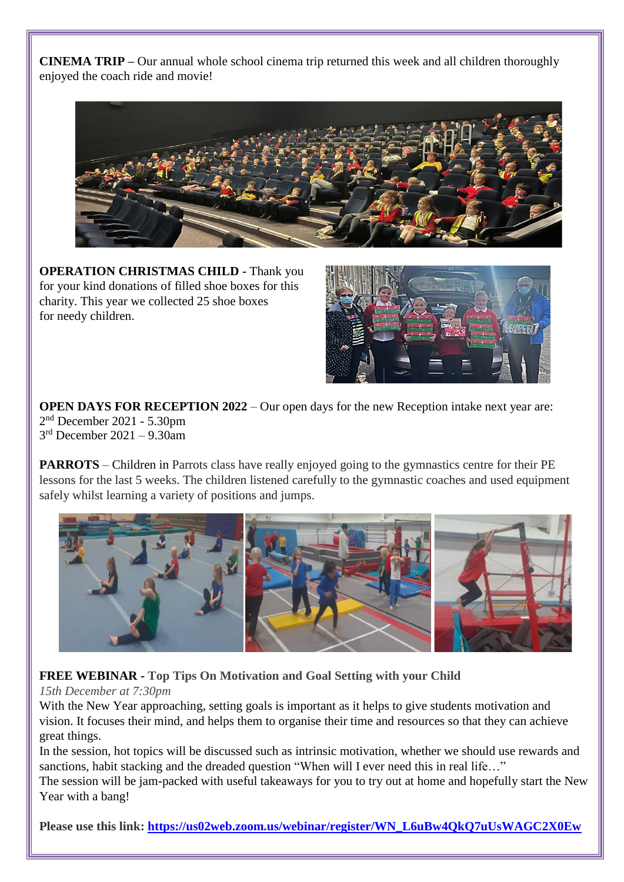**CINEMA TRIP –** Our annual whole school cinema trip returned this week and all children thoroughly enjoyed the coach ride and movie!



**OPERATION CHRISTMAS CHILD -** Thank you for your kind donations of filled shoe boxes for this charity. This year we collected 25 shoe boxes for needy children.



**OPEN DAYS FOR RECEPTION 2022** – Our open days for the new Reception intake next year are: 2 nd December 2021 - 5.30pm 3 rd December 2021 – 9.30am

**PARROTS** – Children in Parrots class have really enjoyed going to the gymnastics centre for their PE lessons for the last 5 weeks. The children listened carefully to the gymnastic coaches and used equipment safely whilst learning a variety of positions and jumps.



**FREE WEBINAR - Top Tips On Motivation and Goal Setting with your Child**

## *15th December at 7:30pm*

With the New Year approaching, setting goals is important as it helps to give students motivation and vision. It focuses their mind, and helps them to organise their time and resources so that they can achieve great things.

In the session, hot topics will be discussed such as intrinsic motivation, whether we should use rewards and sanctions, habit stacking and the dreaded question "When will I ever need this in real life..."

The session will be jam-packed with useful takeaways for you to try out at home and hopefully start the New Year with a bang!

**Please use this link: [https://us02web.zoom.us/webinar/register/WN\\_L6uBw4QkQ7uUsWAGC2X0Ew](https://diagnosticquestions.us14.list-manage.com/track/click?u=2603fe95bdcec4f6c05864497&id=ee99c831d3&e=17512ffa15)**